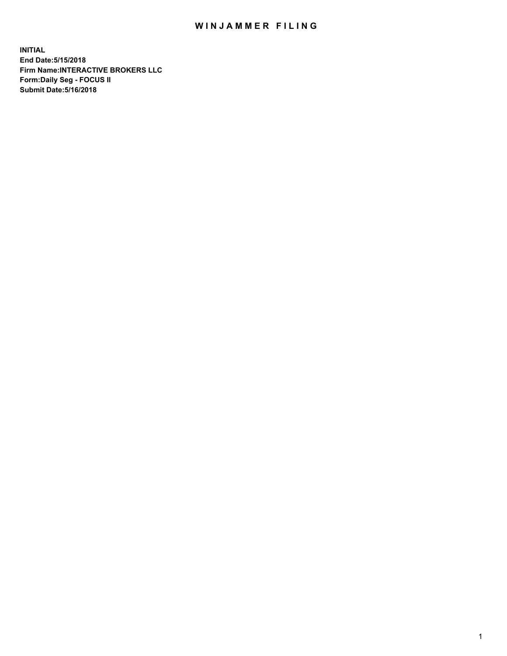## WIN JAMMER FILING

**INITIAL End Date:5/15/2018 Firm Name:INTERACTIVE BROKERS LLC Form:Daily Seg - FOCUS II Submit Date:5/16/2018**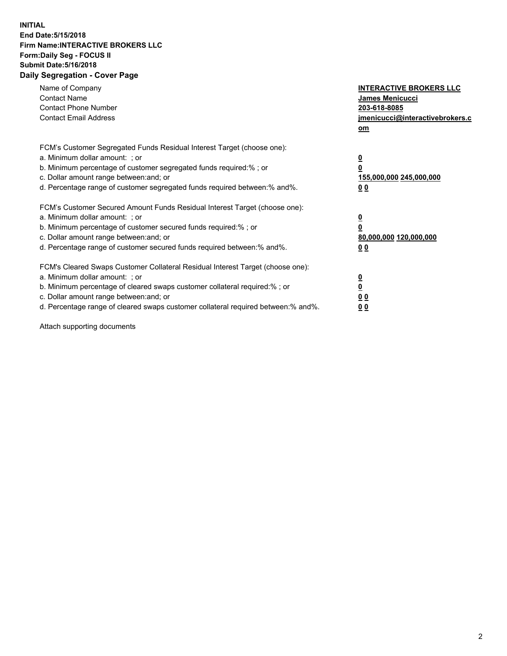## **INITIAL End Date:5/15/2018 Firm Name:INTERACTIVE BROKERS LLC Form:Daily Seg - FOCUS II Submit Date:5/16/2018 Daily Segregation - Cover Page**

| Name of Company<br><b>Contact Name</b><br><b>Contact Phone Number</b>                                                                                                                                                                                                                                                          | <b>INTERACTIVE BROKERS LLC</b><br><b>James Menicucci</b><br>203-618-8085                        |
|--------------------------------------------------------------------------------------------------------------------------------------------------------------------------------------------------------------------------------------------------------------------------------------------------------------------------------|-------------------------------------------------------------------------------------------------|
| <b>Contact Email Address</b>                                                                                                                                                                                                                                                                                                   | jmenicucci@interactivebrokers.c<br>om                                                           |
| FCM's Customer Segregated Funds Residual Interest Target (choose one):<br>a. Minimum dollar amount: ; or<br>b. Minimum percentage of customer segregated funds required:% ; or<br>c. Dollar amount range between: and; or<br>d. Percentage range of customer segregated funds required between:% and%.                         | $\overline{\mathbf{0}}$<br>$\overline{\mathbf{0}}$<br>155,000,000 245,000,000<br>0 <sub>0</sub> |
| FCM's Customer Secured Amount Funds Residual Interest Target (choose one):<br>a. Minimum dollar amount: ; or<br>b. Minimum percentage of customer secured funds required:%; or<br>c. Dollar amount range between: and; or<br>d. Percentage range of customer secured funds required between: % and %.                          | $\overline{\mathbf{0}}$<br>$\overline{\mathbf{0}}$<br>80,000,000 120,000,000<br>0 <sub>0</sub>  |
| FCM's Cleared Swaps Customer Collateral Residual Interest Target (choose one):<br>a. Minimum dollar amount: ; or<br>b. Minimum percentage of cleared swaps customer collateral required:% ; or<br>c. Dollar amount range between: and; or<br>d. Percentage range of cleared swaps customer collateral required between:% and%. | $\overline{\mathbf{0}}$<br>$\underline{\mathbf{0}}$<br>0 <sub>0</sub><br>0 <sup>0</sup>         |

Attach supporting documents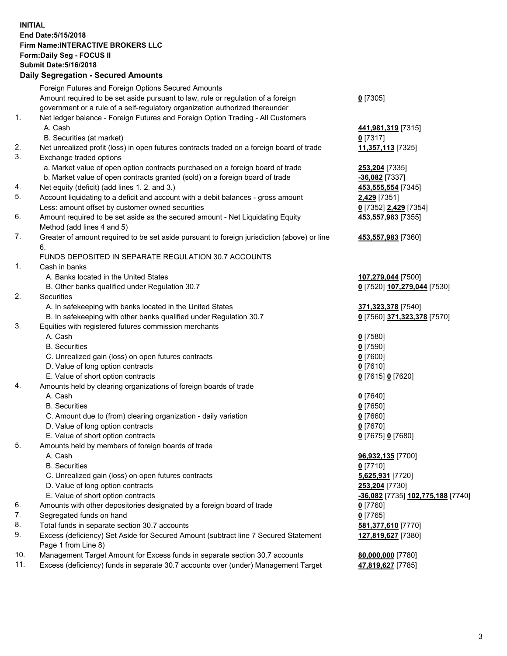## **INITIAL End Date:5/15/2018 Firm Name:INTERACTIVE BROKERS LLC Form:Daily Seg - FOCUS II Submit Date:5/16/2018 Daily Segregation - Secured Amounts**

|     | Daily Jegiegation - Jeculed Aniounts                                                        |                                   |
|-----|---------------------------------------------------------------------------------------------|-----------------------------------|
|     | Foreign Futures and Foreign Options Secured Amounts                                         |                                   |
|     | Amount required to be set aside pursuant to law, rule or regulation of a foreign            | $0$ [7305]                        |
|     | government or a rule of a self-regulatory organization authorized thereunder                |                                   |
| 1.  | Net ledger balance - Foreign Futures and Foreign Option Trading - All Customers             |                                   |
|     | A. Cash                                                                                     | 441,981,319 [7315]                |
|     | B. Securities (at market)                                                                   | $0$ [7317]                        |
| 2.  | Net unrealized profit (loss) in open futures contracts traded on a foreign board of trade   | 11,357,113 [7325]                 |
| 3.  | Exchange traded options                                                                     |                                   |
|     | a. Market value of open option contracts purchased on a foreign board of trade              | 253,204 [7335]                    |
|     | b. Market value of open contracts granted (sold) on a foreign board of trade                | -36,082 [7337]                    |
| 4.  | Net equity (deficit) (add lines 1.2. and 3.)                                                | 453,555,554 [7345]                |
| 5.  | Account liquidating to a deficit and account with a debit balances - gross amount           | 2,429 [7351]                      |
|     | Less: amount offset by customer owned securities                                            | 0 [7352] 2,429 [7354]             |
| 6.  | Amount required to be set aside as the secured amount - Net Liquidating Equity              | 453,557,983 [7355]                |
|     | Method (add lines 4 and 5)                                                                  |                                   |
| 7.  | Greater of amount required to be set aside pursuant to foreign jurisdiction (above) or line | 453,557,983 [7360]                |
|     | 6.                                                                                          |                                   |
|     | FUNDS DEPOSITED IN SEPARATE REGULATION 30.7 ACCOUNTS                                        |                                   |
| 1.  | Cash in banks                                                                               |                                   |
|     | A. Banks located in the United States                                                       | 107,279,044 [7500]                |
|     | B. Other banks qualified under Regulation 30.7                                              | 0 [7520] 107,279,044 [7530]       |
| 2.  | Securities                                                                                  |                                   |
|     | A. In safekeeping with banks located in the United States                                   | 371,323,378 [7540]                |
|     | B. In safekeeping with other banks qualified under Regulation 30.7                          | 0 [7560] 371,323,378 [7570]       |
| 3.  | Equities with registered futures commission merchants                                       |                                   |
|     | A. Cash                                                                                     | $0$ [7580]                        |
|     | <b>B.</b> Securities                                                                        | $0$ [7590]                        |
|     | C. Unrealized gain (loss) on open futures contracts                                         | $0$ [7600]                        |
|     | D. Value of long option contracts                                                           | $0$ [7610]                        |
|     | E. Value of short option contracts                                                          | 0 [7615] 0 [7620]                 |
| 4.  | Amounts held by clearing organizations of foreign boards of trade                           |                                   |
|     | A. Cash                                                                                     | $0$ [7640]                        |
|     | <b>B.</b> Securities                                                                        | $0$ [7650]                        |
|     | C. Amount due to (from) clearing organization - daily variation                             | $0$ [7660]                        |
|     | D. Value of long option contracts                                                           | $0$ [7670]                        |
|     | E. Value of short option contracts                                                          | 0 [7675] 0 [7680]                 |
| 5.  | Amounts held by members of foreign boards of trade                                          |                                   |
|     | A. Cash                                                                                     | 96,932,135 [7700]                 |
|     | <b>B.</b> Securities                                                                        | $0$ [7710]                        |
|     | C. Unrealized gain (loss) on open futures contracts                                         | 5,625,931 [7720]                  |
|     | D. Value of long option contracts                                                           | 253,204 [7730]                    |
|     | E. Value of short option contracts                                                          | -36,082 [7735] 102,775,188 [7740] |
| 6.  | Amounts with other depositories designated by a foreign board of trade                      | $0$ [7760]                        |
| 7.  | Segregated funds on hand                                                                    | $0$ [7765]                        |
| 8.  | Total funds in separate section 30.7 accounts                                               | 581,377,610 [7770]                |
| 9.  | Excess (deficiency) Set Aside for Secured Amount (subtract line 7 Secured Statement         | 127,819,627 [7380]                |
|     | Page 1 from Line 8)                                                                         |                                   |
| 10. | Management Target Amount for Excess funds in separate section 30.7 accounts                 | 80,000,000 [7780]                 |
| 11. | Excess (deficiency) funds in separate 30.7 accounts over (under) Management Target          | 47,819,627 [7785]                 |
|     |                                                                                             |                                   |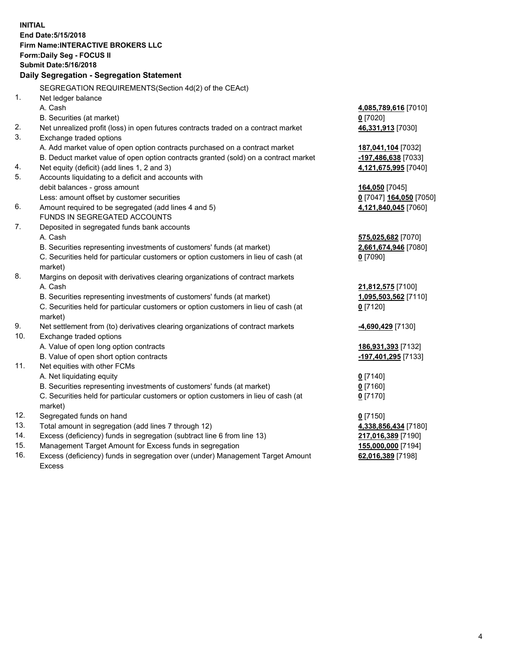**INITIAL End Date:5/15/2018 Firm Name:INTERACTIVE BROKERS LLC Form:Daily Seg - FOCUS II Submit Date:5/16/2018 Daily Segregation - Segregation Statement** SEGREGATION REQUIREMENTS(Section 4d(2) of the CEAct) 1. Net ledger balance A. Cash **4,085,789,616** [7010] B. Securities (at market) **0** [7020] 2. Net unrealized profit (loss) in open futures contracts traded on a contract market **46,331,913** [7030] 3. Exchange traded options A. Add market value of open option contracts purchased on a contract market **187,041,104** [7032] B. Deduct market value of open option contracts granted (sold) on a contract market **-197,486,638** [7033] 4. Net equity (deficit) (add lines 1, 2 and 3) **4,121,675,995** [7040] 5. Accounts liquidating to a deficit and accounts with debit balances - gross amount **164,050** [7045] Less: amount offset by customer securities **0** [7047] **164,050** [7050] 6. Amount required to be segregated (add lines 4 and 5) **4,121,840,045** [7060] FUNDS IN SEGREGATED ACCOUNTS 7. Deposited in segregated funds bank accounts A. Cash **575,025,682** [7070] B. Securities representing investments of customers' funds (at market) **2,661,674,946** [7080] C. Securities held for particular customers or option customers in lieu of cash (at market) **0** [7090] 8. Margins on deposit with derivatives clearing organizations of contract markets A. Cash **21,812,575** [7100] B. Securities representing investments of customers' funds (at market) **1,095,503,562** [7110] C. Securities held for particular customers or option customers in lieu of cash (at market) **0** [7120] 9. Net settlement from (to) derivatives clearing organizations of contract markets **-4,690,429** [7130] 10. Exchange traded options A. Value of open long option contracts **186,931,393** [7132] B. Value of open short option contracts **-197,401,295** [7133] 11. Net equities with other FCMs A. Net liquidating equity **0** [7140] B. Securities representing investments of customers' funds (at market) **0** [7160] C. Securities held for particular customers or option customers in lieu of cash (at market) **0** [7170] 12. Segregated funds on hand **0** [7150] 13. Total amount in segregation (add lines 7 through 12) **4,338,856,434** [7180] 14. Excess (deficiency) funds in segregation (subtract line 6 from line 13) **217,016,389** [7190] 15. Management Target Amount for Excess funds in segregation **155,000,000** [7194]

16. Excess (deficiency) funds in segregation over (under) Management Target Amount Excess

**62,016,389** [7198]